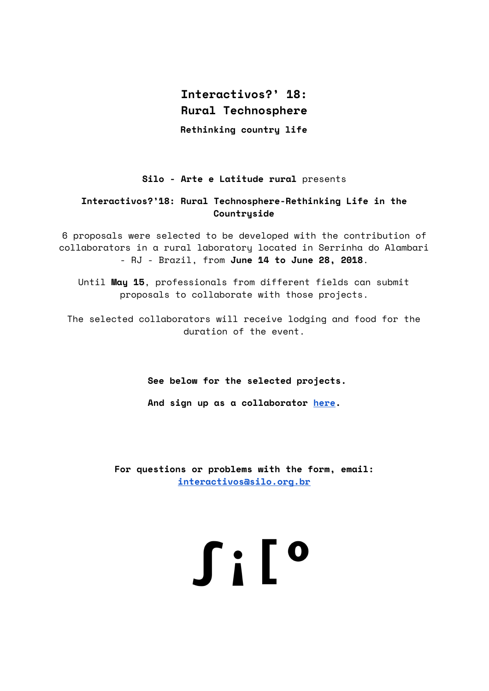# **Interactivos?' 18: Rural Technosphere**

**Rethinking country life**

# **Silo - Arte e Latitude rural** presents

# **Interactivos?'18: Rural Technosphere-Rethinking Life in the Countryside**

6 proposals were selected to be developed with the contribution of collaborators in a rural laboratory located in Serrinha do Alambari - RJ - Brazil, from **June 14 to June 28, 2018**.

Until **May 15**, professionals from different fields can submit proposals to collaborate with those projects.

The selected collaborators will receive lodging and food for the duration of the event.

**See below for the selected projects.**

**And sign up as a collaborator [here](https://goo.gl/forms/g9lV6sxxVyAf4JsO2).**

**For questions or problems with the form, email: [interactivos@silo.org.br](mailto:interactivos@silo.org.br)**

# **Silo**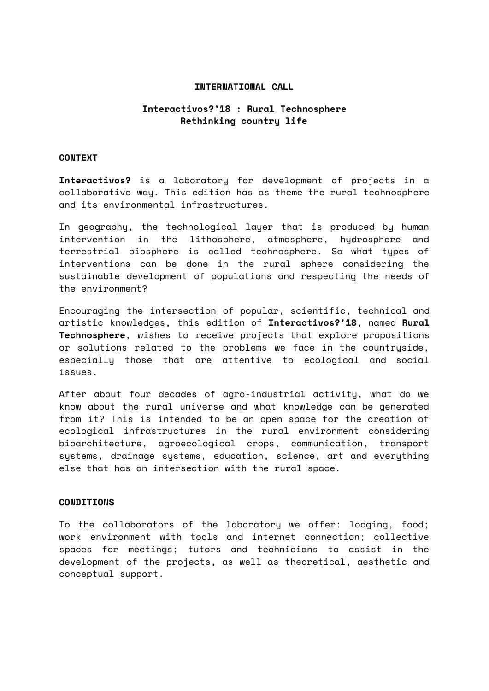# **INTERNATIONAL CALL**

# **Interactivos?'18 : Rural Technosphere Rethinking country life**

### **CONTEXT**

**Interactivos?** is a laboratory for development of projects in a collaborative way. This edition has as theme the rural technosphere and its environmental infrastructures.

In geography, the technological layer that is produced by human intervention in the lithosphere, atmosphere, hydrosphere and terrestrial biosphere is called technosphere. So what types of interventions can be done in the rural sphere considering the sustainable development of populations and respecting the needs of the environment?

Encouraging the intersection of popular, scientific, technical and artistic knowledges, this edition of **Interactivos?'18**, named **Rural Technosphere**, wishes to receive projects that explore propositions or solutions related to the problems we face in the countryside, especially those that are attentive to ecological and social issues.

After about four decades of agro-industrial activity, what do we know about the rural universe and what knowledge can be generated from it? This is intended to be an open space for the creation of ecological infrastructures in the rural environment considering bioarchitecture, agroecological crops, communication, transport systems, drainage systems, education, science, art and everything else that has an intersection with the rural space.

#### **CONDITIONS**

To the collaborators of the laboratory we offer: lodging, food; work environment with tools and internet connection; collective spaces for meetings; tutors and technicians to assist in the development of the projects, as well as theoretical, aesthetic and conceptual support.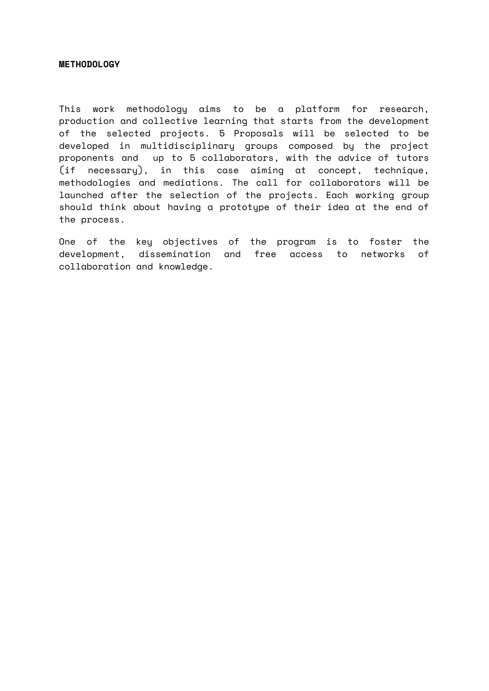# **METHODOLOGY**

This work methodology aims to be a platform for research, production and collective learning that starts from the development of the selected projects. 5 Proposals will be selected to be developed in multidisciplinary groups composed by the project proponents and up to 5 collaborators, with the advice of tutors (if necessary), in this case aiming at concept, technique, methodologies and mediations. The call for collaborators will be launched after the selection of the projects. Each working group should think about having a prototype of their idea at the end of the process.

One of the key objectives of the program is to foster the development, dissemination and free access to networks of collaboration and knowledge.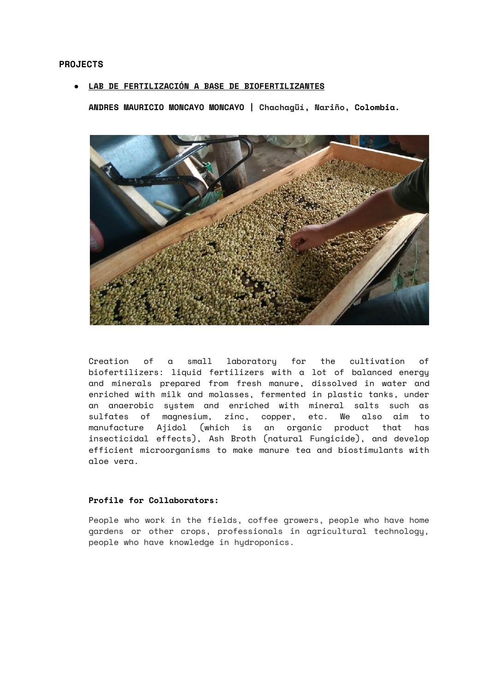#### **● LAB DE FERTILIZACIÓN A BASE DE BIOFERTILIZANTES**

**ANDRES MAURICIO MONCAYO MONCAYO | Chachagüí, Nariño, Colombia.**



Creation of a small laboratory for the cultivation of biofertilizers: liquid fertilizers with a lot of balanced energy and minerals prepared from fresh manure, dissolved in water and enriched with milk and molasses, fermented in plastic tanks, under an anaerobic system and enriched with mineral salts such as sulfates of magnesium, zinc, copper, etc. We also aim to manufacture Ajidol (which is an organic product that has insecticidal effects), Ash Broth (natural Fungicide), and develop efficient microorganisms to make manure tea and biostimulants with aloe vera.

# **Profile for Collaborators:**

People who work in the fields, coffee growers, people who have home gardens or other crops, professionals in agricultural technology, people who have knowledge in hydroponics.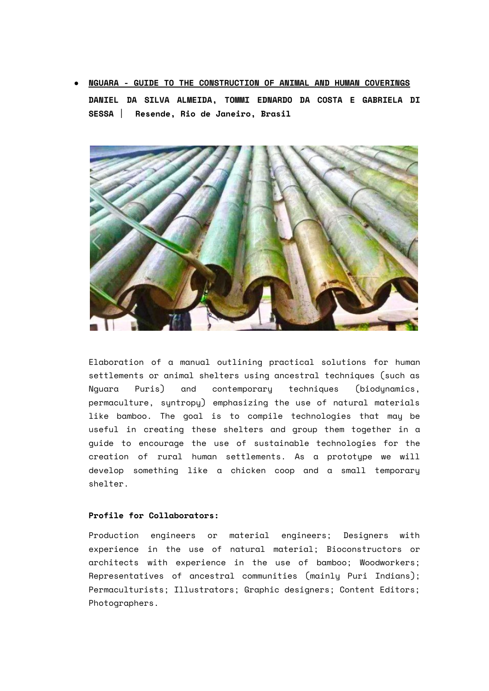**● NGUARA - GUIDE TO THE CONSTRUCTION OF ANIMAL AND HUMAN COVERINGS DANIEL DA SILVA ALMEIDA, TOMMI EDNARDO DA COSTA E GABRIELA DI SESSA** | **Resende, Rio de Janeiro, Brasil**



Elaboration of a manual outlining practical solutions for human settlements or animal shelters using ancestral techniques (such as Nguara Puris) and contemporary techniques (biodynamics, permaculture, syntropy) emphasizing the use of natural materials like bamboo. The goal is to compile technologies that may be useful in creating these shelters and group them together in a guide to encourage the use of sustainable technologies for the creation of rural human settlements. As a prototype we will develop something like a chicken coop and a small temporary shelter.

# **Profile for Collaborators:**

Production engineers or material engineers; Designers with experience in the use of natural material; Bioconstructors or architects with experience in the use of bamboo; Woodworkers; Representatives of ancestral communities (mainly Puri Indians); Permaculturists; Illustrators; Graphic designers; Content Editors; Photographers.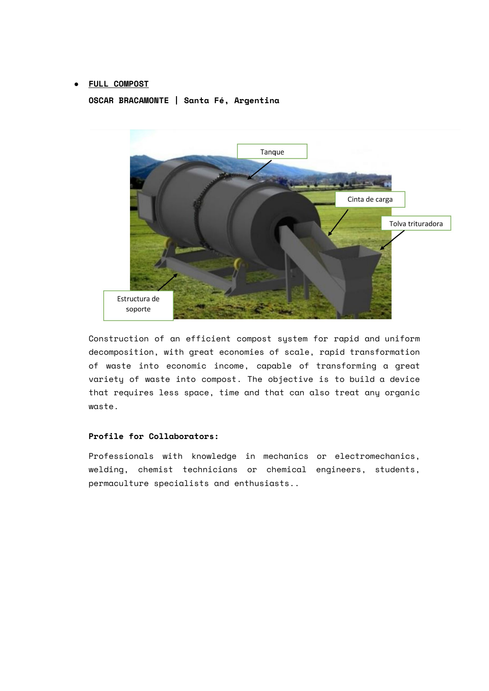# **● FULL COMPOST**

**OSCAR BRACAMONTE | Santa Fé, Argentina**



Construction of an efficient compost system for rapid and uniform decomposition, with great economies of scale, rapid transformation of waste into economic income, capable of transforming a great variety of waste into compost. The objective is to build a device that requires less space, time and that can also treat any organic waste.

# **Profile for Collaborators:**

Professionals with knowledge in mechanics or electromechanics, welding, chemist technicians or chemical engineers, students, permaculture specialists and enthusiasts..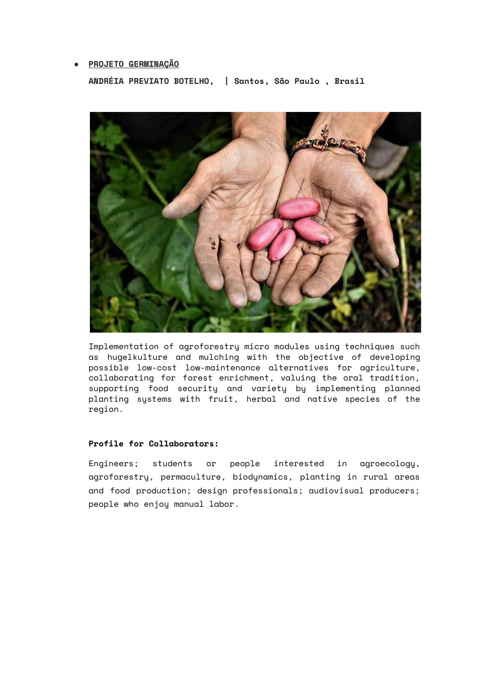# **● PROJETO GERMINAÇÃO**

**ANDRÉIA PREVIATO BOTELHO, | Santos, São Paulo , Brasil**



Implementation of agroforestry micro modules using techniques such as hugelkulture and mulching with the objective of developing possible low-cost low-maintenance alternatives for agriculture, collaborating for forest enrichment, valuing the oral tradition, supporting food security and variety by implementing planned planting systems with fruit, herbal and native species of the region.

# **Profile for Collaborators:**

Engineers; students or people interested in agroecology, agroforestry, permaculture, biodynamics, planting in rural areas and food production; design professionals; audiovisual producers; people who enjoy manual labor.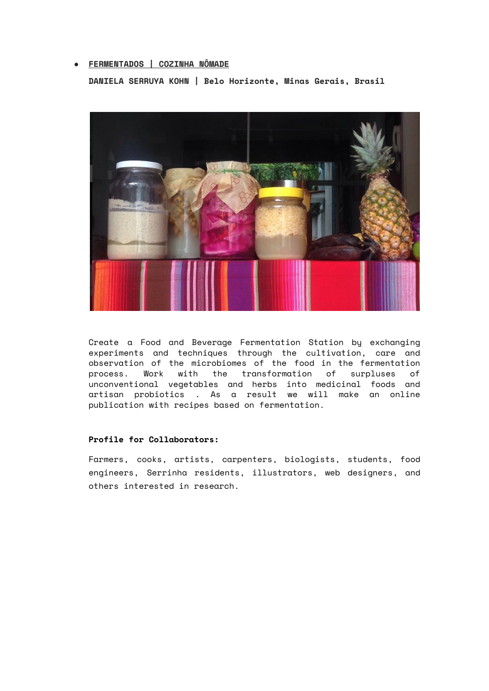# **● FERMENTADOS | COZINHA NÔMADE**

**DANIELA SERRUYA KOHN | Belo Horizonte, Minas Gerais, Brasil**



Create a Food and Beverage Fermentation Station by exchanging experiments and techniques through the cultivation, care and observation of the microbiomes of the food in the fermentation process. Work with the transformation of surpluses of unconventional vegetables and herbs into medicinal foods and artisan probiotics . As a result we will make an online publication with recipes based on fermentation.

#### **Profile for Collaborators:**

Farmers, cooks, artists, carpenters, biologists, students, food engineers, Serrinha residents, illustrators, web designers, and others interested in research.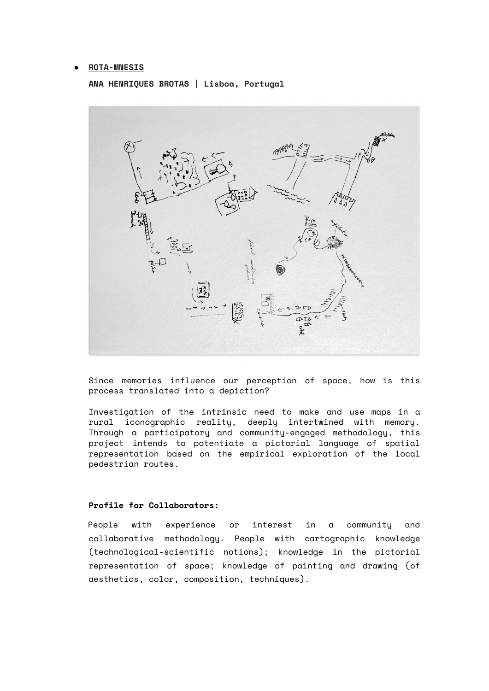#### **● ROTA-MNESIS**

**ANA HENRIQUES BROTAS | Lisboa, Portugal**



Since memories influence our perception of space, how is this process translated into a depiction?

Investigation of the intrinsic need to make and use maps in a rural iconographic reality, deeply intertwined with memory. Through a participatory and community-engaged methodology, this project intends to potentiate a pictorial language of spatial representation based on the empirical exploration of the local pedestrian routes.

# **Profile for Collaborators:**

People with experience or interest in a community and collaborative methodology. People with cartographic knowledge (technological-scientific notions); knowledge in the pictorial representation of space; knowledge of painting and drawing (of aesthetics, color, composition, techniques).